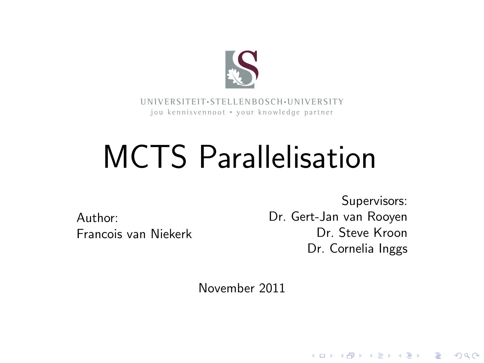

**UNI V E R SI T EI T**• **S T E L L EN BO S CH**•**UNI V E R SI T Y** jou kennisvennoot • your knowledge partner

# MCTS Parallelisation

Author: Francois van Niekerk

Supervisors: Dr. Gert-Jan van Rooyen Dr. Steve Kroon Dr. Cornelia Inggs

**KORK STRAIN A BAR SHOP** 

November 2011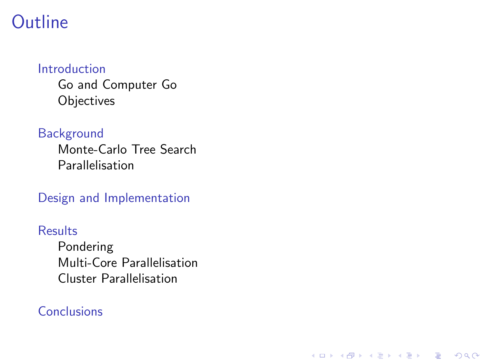#### **Outline**

#### [Introduction](#page-2-0)

[Go and Computer Go](#page-3-0) **[Objectives](#page-4-0)** 

#### [Background](#page-5-0)

[Monte-Carlo Tree Search](#page-5-0) [Parallelisation](#page-10-0)

[Design and Implementation](#page-14-0)

#### **[Results](#page-16-0)**

[Pondering](#page-16-0) [Multi-Core Parallelisation](#page-17-0) [Cluster Parallelisation](#page-18-0)

K ロ ▶ K @ ▶ K 할 > K 할 > 1 할 > 1 이익어

#### **[Conclusions](#page-19-0)**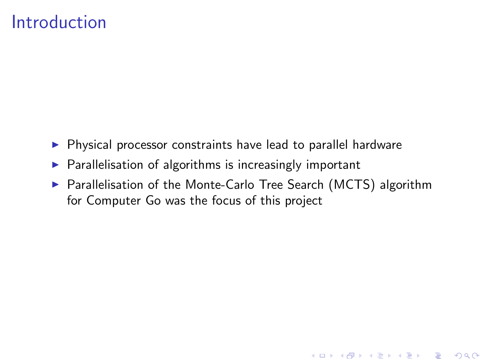#### Introduction

- $\triangleright$  Physical processor constraints have lead to parallel hardware
- $\triangleright$  Parallelisation of algorithms is increasingly important
- <span id="page-2-0"></span>▶ Parallelisation of the Monte-Carlo Tree Search (MCTS) algorithm for Computer Go was the focus of this project

**KOD KARD KED KED E VOOR**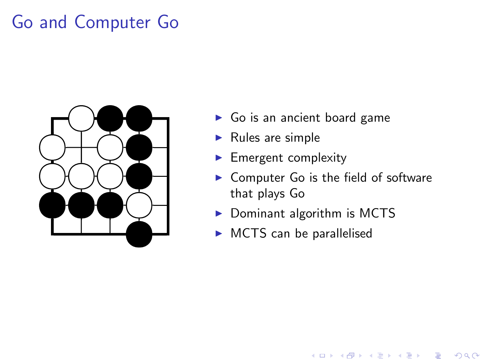## Go and Computer Go

<span id="page-3-0"></span>

- $\blacktriangleright$  Go is an ancient board game
- $\blacktriangleright$  Rules are simple
- $\blacktriangleright$  Emergent complexity
- $\triangleright$  Computer Go is the field of software that plays Go

**KOD KARD KED KED E YORA** 

- $\blacktriangleright$  Dominant algorithm is MCTS
- $\triangleright$  MCTS can be parallelised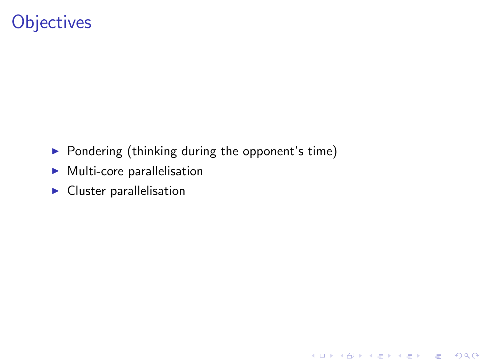## **Objectives**

 $\triangleright$  Pondering (thinking during the opponent's time)

- $\blacktriangleright$  Multi-core parallelisation
- <span id="page-4-0"></span> $\blacktriangleright$  Cluster parallelisation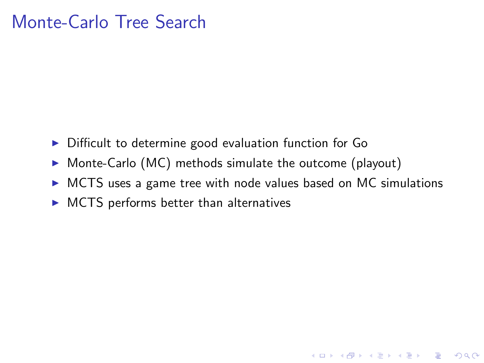- $\triangleright$  Difficult to determine good evaluation function for Go
- $\triangleright$  Monte-Carlo (MC) methods simulate the outcome (playout)
- $\triangleright$  MCTS uses a game tree with node values based on MC simulations

K ロ ▶ K @ ▶ K 할 > K 할 > 1 할 > 1 이익어

<span id="page-5-0"></span> $\triangleright$  MCTS performs better than alternatives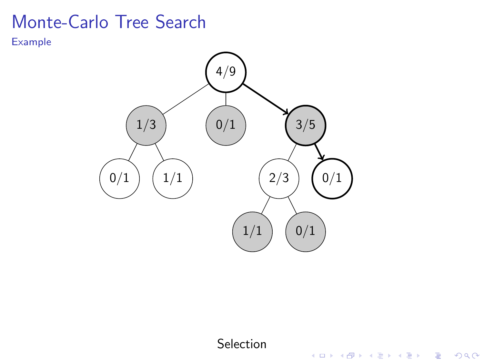Example



Selection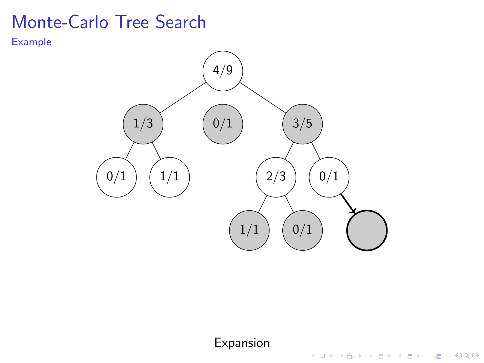Example



Expansion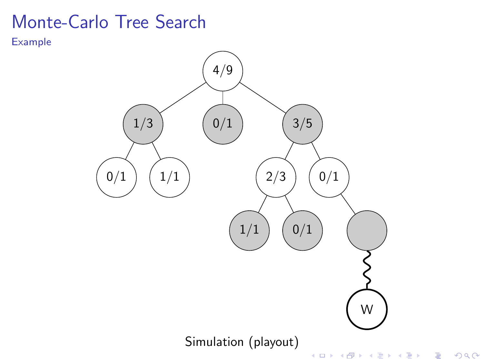Example

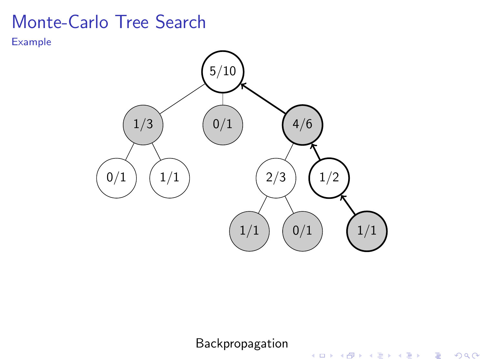Example



Backpropagation

K ロ ▶ K @ ▶ K 할 > K 할 > 1 할 > 1 이익어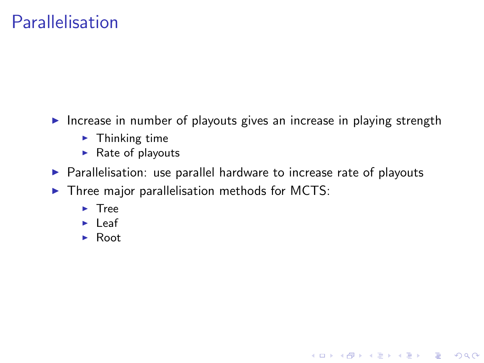### Parallelisation

- $\triangleright$  Increase in number of playouts gives an increase in playing strength
	- $\blacktriangleright$  Thinking time
	- $\blacktriangleright$  Rate of playouts
- $\triangleright$  Parallelisation: use parallel hardware to increase rate of playouts

**KOD KARD KED KED E VOOR** 

- <span id="page-10-0"></span> $\triangleright$  Three major parallelisation methods for MCTS:
	- $\blacktriangleright$  Tree
	- $\blacktriangleright$  Leaf
	- $\blacktriangleright$  Root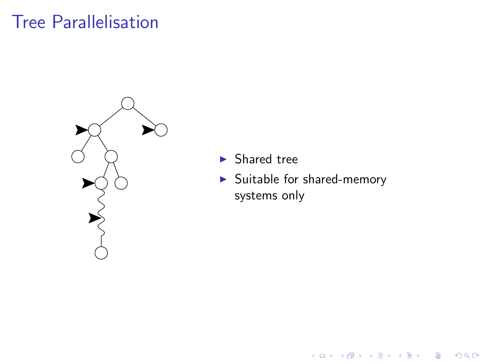### Tree Parallelisation



- $\blacktriangleright$  Shared tree
- $\blacktriangleright$  Suitable for shared-memory systems only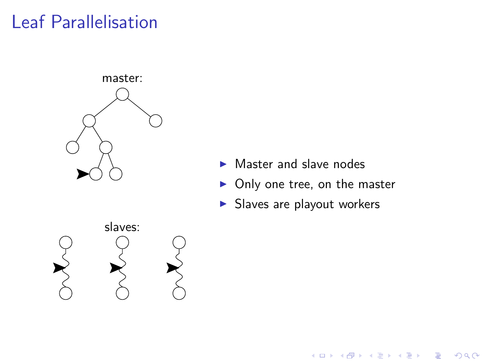## Leaf Parallelisation



- $\blacktriangleright$  Master and slave nodes
- $\triangleright$  Only one tree, on the master

K ロ ▶ K @ ▶ K 할 > K 할 > 1 할 > 1 이익어

 $\blacktriangleright$  Slaves are playout workers

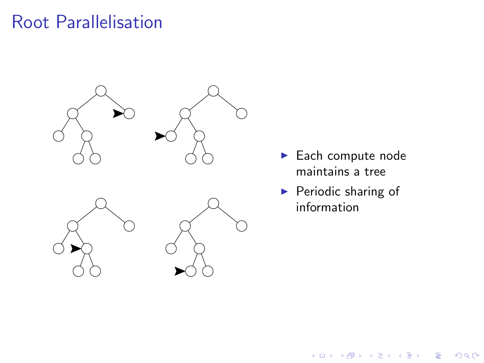### Root Parallelisation



- $\blacktriangleright$  Each compute node maintains a tree
- $\blacktriangleright$  Periodic sharing of information

メロメ 不優 メメ 重 メメ 差 メー 差し

 $2990$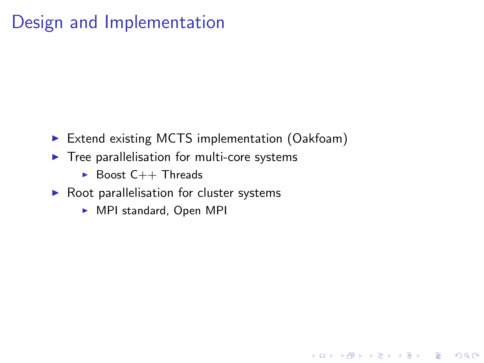## Design and Implementation

▶ Extend existing MCTS implementation (Oakfoam)

**KOD KARD KED KED E VOOR** 

- $\blacktriangleright$  Tree parallelisation for multi-core systems
	- $\triangleright$  Boost C++ Threads
- <span id="page-14-0"></span> $\triangleright$  Root parallelisation for cluster systems
	- $\triangleright$  MPI standard, Open MPI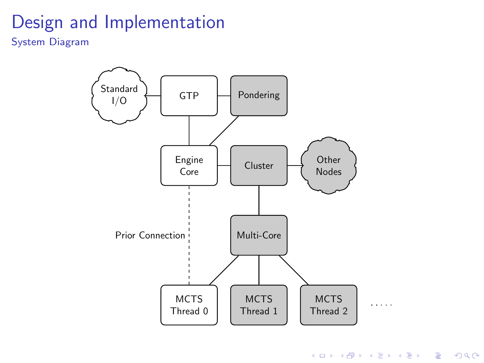## Design and Implementation

System Diagram



K ロ ▶ K @ ▶ K 할 X X 할 X | 할 X 1 9 Q Q ^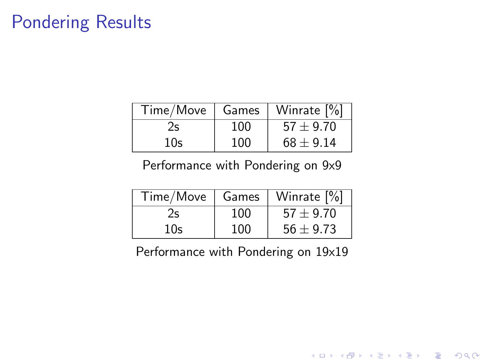## Pondering Results

| Time/Move | Games | Winrate [%]   |
|-----------|-------|---------------|
|           | 100   | $57 \pm 9.70$ |
| 10s       | 100   | $68 + 9.14$   |

#### Performance with Pondering on 9x9

| Time/Move | Games | Winrate [%]   |
|-----------|-------|---------------|
|           | 100   | $57 \pm 9.70$ |
| 10s       | 100   | $56 \pm 9.73$ |

<span id="page-16-0"></span>Performance with Pondering on 19x19

K ロ X イロ X K ミ X K ミ X ミ → S V C Y C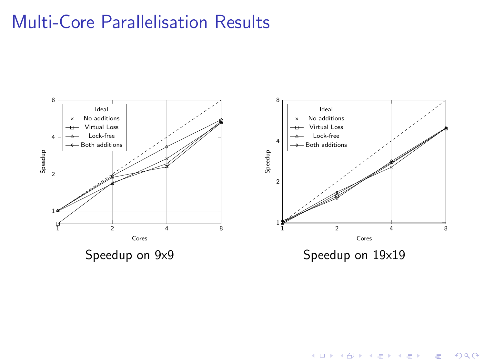## Multi-Core Parallelisation Results

<span id="page-17-0"></span>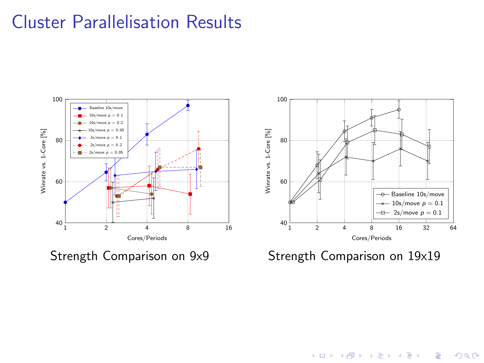#### Cluster Parallelisation Results



<span id="page-18-0"></span>Strength Comparison on 9x9



Strength Comparison on 19x19

K ロ > K @ > K 할 > K 할 > 1 할 : ⊙ Q Q^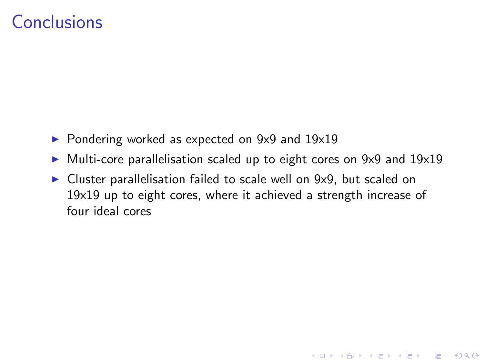#### **Conclusions**

- $\triangleright$  Pondering worked as expected on 9x9 and 19x19
- $\blacktriangleright$  Multi-core parallelisation scaled up to eight cores on 9x9 and 19x19

**KOD KARD KED KED E VOOR** 

<span id="page-19-0"></span> $\triangleright$  Cluster parallelisation failed to scale well on 9x9, but scaled on 19x19 up to eight cores, where it achieved a strength increase of four ideal cores